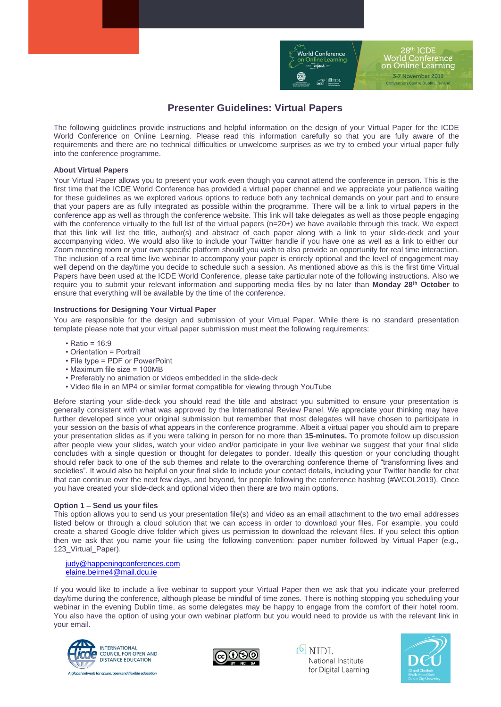

28th ICDE **World Conference** on Online Learning 3-7 November 2019 tion Centre Dublin, Ireland

# **Presenter Guidelines: Virtual Papers**

The following guidelines provide instructions and helpful information on the design of your Virtual Paper for the ICDE World Conference on Online Learning. Please read this information carefully so that you are fully aware of the requirements and there are no technical difficulties or unwelcome surprises as we try to embed your virtual paper fully into the conference programme.

## **About Virtual Papers**

Your Virtual Paper allows you to present your work even though you cannot attend the conference in person. This is the first time that the ICDE World Conference has provided a virtual paper channel and we appreciate your patience waiting for these guidelines as we explored various options to reduce both any technical demands on your part and to ensure that your papers are as fully integrated as possible within the programme. There will be a link to virtual papers in the conference app as well as through the conference website. This link will take delegates as well as those people engaging with the conference virtually to the full list of the virtual papers (n=20+) we have available through this track. We expect that this link will list the title, author(s) and abstract of each paper along with a link to your slide-deck and your accompanying video. We would also like to include your Twitter handle if you have one as well as a link to either our Zoom meeting room or your own specific platform should you wish to also provide an opportunity for real time interaction. The inclusion of a real time live webinar to accompany your paper is entirely optional and the level of engagement may well depend on the day/time you decide to schedule such a session. As mentioned above as this is the first time Virtual Papers have been used at the ICDE World Conference, please take particular note of the following instructions. Also we require you to submit your relevant information and supporting media files by no later than **Monday 28 th October** to ensure that everything will be available by the time of the conference.

### **Instructions for Designing Your Virtual Paper**

You are responsible for the design and submission of your Virtual Paper. While there is no standard presentation template please note that your virtual paper submission must meet the following requirements:

- Ratio = 16:9
- Orientation = Portrait
- File type = PDF or PowerPoint
- Maximum file size = 100MB
- Preferably no animation or videos embedded in the slide-deck
- Video file in an MP4 or similar format compatible for viewing through YouTube

Before starting your slide-deck you should read the title and abstract you submitted to ensure your presentation is generally consistent with what was approved by the International Review Panel. We appreciate your thinking may have further developed since your original submission but remember that most delegates will have chosen to participate in your session on the basis of what appears in the conference programme. Albeit a virtual paper you should aim to prepare your presentation slides as if you were talking in person for no more than **15-minutes.** To promote follow up discussion after people view your slides, watch your video and/or participate in your live webinar we suggest that your final slide concludes with a single question or thought for delegates to ponder. Ideally this question or your concluding thought should refer back to one of the sub themes and relate to the overarching conference theme of "transforming lives and societies". It would also be helpful on your final slide to include your contact details, including your Twitter handle for chat that can continue over the next few days, and beyond, for people following the conference hashtag (#WCOL2019). Once you have created your slide-deck and optional video then there are two main options.

#### **Option 1 – Send us your files**

This option allows you to send us your presentation file(s) and video as an email attachment to the two email addresses listed below or through a cloud solution that we can access in order to download your files. For example, you could create a shared Google drive folder which gives us permission to download the relevant files. If you select this option then we ask that you name your file using the following convention: paper number followed by Virtual Paper (e.g., 123 Virtual Paper).

[judy@happeningconferences.com](mailto:judy@happeningconferences.com)  [elaine.beirne4@mail.dcu.ie](mailto:elaine.beirne4@mail.dcu.ie)

If you would like to include a live webinar to support your Virtual Paper then we ask that you indicate your preferred day/time during the conference, although please be mindful of time zones. There is nothing stopping you scheduling your webinar in the evening Dublin time, as some delegates may be happy to engage from the comfort of their hotel room. You also have the option of using your own webinar platform but you would need to provide us with the relevant link in your email.